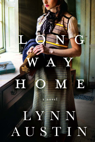# E

# $\mathbf M$

T

C

 $\overline{\mathbf{E}}$ 

novel  $\overline{a}$ 

A

### **YNN** TUS. IN  $\bm A$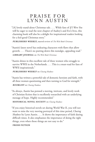### PRAISE FOR LYNN AUSTIN

"[A] lovely stand-alone Christmas tale. . . . While fans of *If I Were You* will be eager to read the next chapter of Audrey's and Eve's lives, this charming book will also be a delight for inspirational readers looking for a feel-good Christmas story."

PUBLISHERS WEEKLY, starred review of *The Wish Book Christmas*

"Austin's latest novel has endearing characters with flaws that allow growth. . . . There's no putting down this nostalgic, appealing read." LIBRARY JOURNAL on *The Wish Book Christmas*

"Austin shines in this excellent tale of three women who struggle to survive WWII in the Netherlands. . . . This is a must-read for fans of WWII inspirationals."

#### PUBLISHERS WEEKLY on *Chasing Shadows*

"Austin has written a powerful tale of domestic heroism and faith, with all three women questioning and then turning to God for strength."

BOOKLIST on *Chasing Shadows*

"As always, Austin has penned a moving, intricate, and lovely work of Christian fiction that is excellently researched with an underlying message of hope. Highly recommended."

HISTORICAL NOVEL SOCIETY on *Chasing Shadows*

"If you enjoy historical novels set during World War II, you will not want to miss the very moving portrayal of this time period, *Chasing Shadows* by Lynn Austin. . . . It shows the importance of faith during difficult times. It also emphasizes the importance of doing the right things, even when those things are not easy to do."

#### FRESH FICTION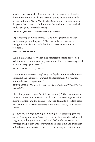"Austin transports readers into the lives of her characters, plunking them in the middle of a brutal war and giving them a unique take on the traditional World War II tale. Readers won't be able to turn the pages fast enough to find out how Eve and Audrey met and what could have gone so terribly wrong."

LIBRARY JOURNAL, starred review of *If I Were You*

"[A] tantalizing domestic drama. . . . Its message familiar and its world nostalgic and fragile, *If I Were You* looks for answers in changing identities and finds that it's priceless to remain true to oneself."

#### FOREWORD REVIEWS

"Lynn is a masterful storyteller. The characters become people you feel like you know and you truly care about. The plot has unexpected turns and keeps you riveted."

ECLA LIBRARIES on *If I Were You*

"Lynn Austin is a master at exploring the depths of human relationships. Set against the backdrop of war and its aftermath, *If I Were You* is a beautifully woven page-turner."

SUSAN MEISSNER, bestselling author of *Secrets of a Charmed Life* and *The Last Year of the War*

"I have long enjoyed Lynn Austin's novels, but *If I Were You* resonates above all others. Austin weaves the plot and characters together with sheer perfection, and the ending—oh, pure delight to a reader's heart!"

TAMERA ALEXANDER, bestselling author of *With This Pledge* and *A Note Yet Unsung*

"*If I Were You* is a page-turning, nail-biting, heart-stopping gem of a story. Once again, Lynn Austin has done her homework. Each detail rings true, pulling us into Audrey's and Eve's differing worlds of privilege and poverty, while we watch their friendship and their faith in God struggle to survive. I loved traveling along on their journey,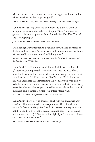with all its unexpected twists and turns, and sighed with satisfaction when I reached the final page. *So* good."

LIZ CURTIS HIGGS, *New York Times* bestselling author of *Mine Is the Night*

"Lynn Austin has long been one of my favorite authors. With an intriguing premise and excellent writing, *If I Were You* is sure to garner accolades and appeal to fans of novels like *The Alice Network* and *The Nightingale*."

JULIE KLASSEN, author of *The Bridge to Belle Island*

"With her signature attention to detail and unvarnished portrayal of the human heart, Lynn Austin weaves a tale of redemption that bears witness to Christ's power to make all things new."

SHARON GARLOUGH BROWN, author of the Sensible Shoes series and *Shades of Light*, on *If I Were You*

"Lynn Austin's tradition of masterful historical fiction continues in *If I Were You*, an impeccably researched look into the lives of two remarkable women. Her unparalleled skill at evoking the past . . . will appeal to fans of Ariel Lawhon and Lisa Wingate. While longtime fans will appreciate this introspective tale from a writer who deeply feels the nuances of human nature, those uninitiated will immediately recognize why her talented pen has led her to near-legendary status in the realm of inspirational fiction. An unforgettable read."

RACHEL MCMILLAN, author of *The London Restoration*

"Lynn Austin knows how to create conflict with her characters. *Par excellence.* Her latest novel is no exception. *If I Were You* tells the story of a *Downton Abbey*–like friendship between Audrey, from the nobility, and Eve, a servant at Audrey's manor house. . . . Bold and brilliant and clever, *If I Were You* will delight Lynn's multitude of fans and garner many new ones."

ELIZABETH MUSSER, author of *When I Close My Eyes*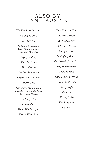### ALSO BY LYNN AUSTIN

*The Wish Book Christmas*

*Chasing Shadows*

*If I Were You*

*Sightings: Discovering God's Presence in Our Everyday Moments*

*Legacy of Mercy*

*Where We Belong*

*Waves of Mercy*

*On This Foundation*

*Keepers of the Covenant*

*Return to Me*

*Pilgrimage: My Journey to a Deeper Faith in the Land Where Jesus Walked*

> *All Things New Wonderland Creek While We're Far Apart Though Waters Roar*

*Until We Reach Home A Proper Pursuit A Woman's Place All She Ever Wanted Among the Gods Faith of My Fathers The Strength of His Hand Song of Redemption Gods and Kings Candle in the Darkness A Light to My Path Fire by Night Hidden Places Wings of Refuge Eve's Daughters Fly Away*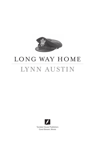

## LONG WAY HOME LYNN AUSTIN



Tyndale House Publishers Carol Stream, Illinois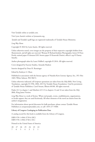Visit Tyndale online at tyndale.com.

Visit Lynn Austin's website at lynnaustin.org.

*Tyndale* and Tyndale's quill logo are registered trademarks of Tyndale House Ministries.

*Long Way Home*

Copyright © 2022 by Lynn Austin. All rights reserved.

Unless otherwise noted, cover images are the property of their respective copyright holders from Shutterstock, and all rights are reserved. Woman © Richard Jenkins Photography; letters © Preto Perola; stained paper © donatas1205; brown paper © Krasovski Dmitri; officer's cap © Danny Smythe.

Author photograph taken by Laura Veldhof, copyright © 2016. All rights reserved.

Cover designed by Faceout Studios, Amanda Hudson

Interior designed by Dean H. Renninger

Edited by Kathryn S. Olson

Published in association with the literary agency of Natasha Kern Literary Agency, Inc., P.O. Box 1069, White Salmon, WA 98672.

Unless otherwise indicated, all Scripture quotations are taken from the *Holy Bible*, New Living Translation, copyright © 1996, 2004, 2015 by Tyndale House Foundation. Used by permission of Tyndale House Publishers, Carol Stream, Illinois 60188. All rights reserved.

Psalm 22:1 in chapter 1 and Matthew 6:9-13 in chapters 14 and 16 are taken from the *Holy Bible*, King James Version.

*Long Way Home* is a work of fiction. Where real people, events, establishments, organizations, or locales appear, they are used fictitiously. All other elements of the novel are drawn from the author's imagination.

For information about special discounts for bulk purchases, please contact Tyndale House Publishers at csresponse@tyndale.com, or call 1-855-277-9400.

#### **Library of Congress Cataloging-in-Publication Data**

A catalog record for this book is available from the Library of Congress.

ISBN 978-1-4964-3739-6 (HC) ISBN 978-1-4964-3740-2 (SC)

Printed in the United States of America

|  |  | 28 27 26 25 24 23 22 |  |
|--|--|----------------------|--|
|  |  | 7 6 5 4 3 2 1        |  |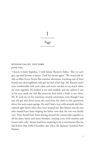## 1 *Peggy*

#### **HUDSON VALLEY, NEW YORK JUNE 1946**

"I know it looks hopeless," I told Jimmy Barnett's father. "But we can't give up until Jimmy is better. Until he's home again." We stood side by side on Blue Fence Farms that summer afternoon, watching one of their brand-new thoroughbred colts get the feel of his legs. Mr. Barnett and I were comfortable with each other and never needed to say much when we were together. He looked at me and nodded, and the sadness I saw in his eyes made me feel like someone had stuck a knife in my chest. Mr. B. took me on his veterinary rounds sometimes, even though I was just the gal who lived across the road from his clinic in the apartment above the auto-repair garage. He said I had a way with animals and they calmed right down when they were around me. But Jimmy was the one who should have been helping his father now that the war was finally over. They should have been driving around the countryside together to all the dairy farms and horse breeders, treating cows with mastitis and horses with colic. Jimmy had been studying to be a veterinarian like his dad before that awful December day when the Japanese bombed Pearl Harbor.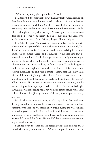"We can't let Jimmy give up on living," I said.

Mr. Barnett didn't reply right away. The new foal pranced around on the other side of the fence, his long, racehorse legs as thin as matchsticks. It made me smile to watch him. But Mr. B. wasn't looking at the colt. He was gazing into the distance, where the sun lit up the mountain's chalky cliffs. I thought of the psalm that says, "I look up to the mountains does my help come from there? My help comes from the Lord, who made heaven and earth!" and I silently begged God to help us.

Mr. B. finally spoke. "Jim has to want our help, Peg. But he doesn't." He squinted his eyes as if the sun was shining in them, then added, "He doesn't even want to live." He turned and started walking back to his truck. His shoulders sagged, and I thought for the first time that he looked like an old man. He had always seemed so sturdy and strong to me, with a broad chest and arms that were brawny enough to wrestle a horse into a stall or hoist a baby calf into its pen. Yet he had a gentle smile and an easy laugh that made all of the lines in his face smile, too. How it must hurt Mr. and Mrs. Barnett to know that their only child tried to kill himself. Jimmy arrived home from the war more than a month ago, and in all that time he barely spoke to them. He wouldn't talk to anyone. He just sat in his room and stared at nothing, like he was sleeping with his eyes open. When I visited him, he looked right through me without seeing me. I ran home in tears because for as long as I had known him, Jimmy was one of the very few people who really saw me.

Mr. B. climbed into his truck, an old 1938 Ford that he'd been driving around on all sorts of back roads and across cow pastures since before the war. Nobody was making new trucks during the war, but he'd planned to go down to the Ford dealership with Jimmy and buy a new one as soon as he arrived home from the Army. Jimmy came home but he wouldn't go with his father. He wouldn't leave his room, not even to buy a brand-new truck.

I yanked open the door on the passenger side and climbed in. It closed with a rusty-sounding creak. We were supposed to head back to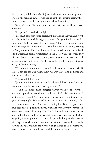the veterinary clinic, but Mr. B. just sat there with his door open and one leg still hanging out. He was gazing at the mountains again, where cloud shadows moved across the slope below the cliffs.

"Mr. B.?" I said. "I'm sure Jimmy will get better again. He just needs more time."

"I hope so," he said with a sigh.

"He must have seen some horrible things during the war, and it will probably take him a while to get over them. But you fought in the first war, right? And you were okay afterwards." There was a picture of a much-younger Mr. Barnett on the mantel in their living room, wearing an Army uniform. They put Jimmy's picture beside it after he enlisted. Mr. Barnett had been a veterinarian in the Great War, back when they still used horses in the cavalry. Jimmy was a medic in this war and took care of soldiers, not horses. But I guessed he and his father witnessed many of the same things.

"Yes, some of the men I knew suffered from shell shock," Mr. B. said. "They call it battle fatigue now. We were all told to go home and put the war behind us."

"And you did that, right?"

"Jimmy and I are very different. He always did have a tender heart. Remember how he was with that dog of yours?"

"Yeah, I remember." The bedraggled stray showed up out of nowhere nine years ago when I was eleven, barely a week after Mama's funeral. It kept hanging around Pop's auto-repair garage, rummaging through our garbage every night. Pop waved a tire iron at him and shouted, "Hey! Get out of there, buster!" So I started calling him Buster. If you could have seen that dog back then, you wouldn't wonder why everyone in town chased away his mangy hide. But I cleaned him up, took care of him, and fed him, and he turned out to be a real nice dog, with short beige fur, oversize pointy ears that stick up, and a long tail that wagged with happiness whenever he saw me. Buster and I became best friends. He was all I had, really, in the way of friends. I liked to think Mama was looking down at me from heaven and that she sent Buster to me.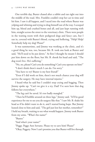One terrible day, Buster chased after a rabbit and ran right out into the middle of the road. Mrs. Franklin couldn't stop her car in time and hit him. I saw it all happen, and I raced into the road where Buster was yelping and whining and trying to drag himself out of the way. I scooped him up, blood and crushed bones and all, and just kept running with him, straight across the street to the veterinary clinic. There were people in the waiting room with their pedigreed dogs and fancy cats, but I ran in, covered with Buster's blood, crying and hollering, "Help! Help! Somebody help my dog! Please!"

It was summertime, and Jimmy was working at the clinic, and it's a good thing he was, too, because Mr. B. took one look at Buster and said, "He'll need to be put down." At first I thought he meant I should put him down on the floor, but Mr. B. shook his head and said, "The dog won't live. He's suffering."

"No, no, please! Can't you do something? Can't you operate on him?"

"I don't think there's much I can do. I'm sorry."

"You have to try! Buster is my best friend!"

"Even if I did work on him, there's not much chance your dog will survive the surgery. He may have internal injuries."

I heard what he said but I couldn't stop crying and begging. Then Jimmy spoke up. "Can't we give it a try, Dad? I've seen how that dog follows her everywhere."

"The leg can't be saved. It's too badly mangled."

"Then he'll hobble around on three legs," Jimmy said. "It'll be good experience for me to see you do surgery like that." I saw Mr. B. shake his head as if he didn't want to do it, and I started losing hope. But Jimmy leaned close to him and said, "The girl just lost her mother, remember?" I held my breath, waiting to see what would happen. Jimmy took Buster from my arms. "What's his name?"

"Buster"

"And what's your name?"

"Peggy. Peggy Ann Serrano. Please try to save him! Please!"

"Okay, Peggety. Now I can't promise you that Buster will live through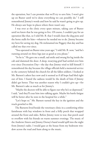the operation, but I can promise that we'll try to save him. I won't give up on Buster until we've done everything we can possibly do." I still remembered Jimmy's words and how he said he wasn't going to give up. He always saw hope in places where there wasn't any.

I was over at the clinic every spare minute, taking care of Buster until we knew that he was going to live. Of course, I couldn't pay for an operation like that, so I told Mr. B. that I would clean the dog pens and the horse stalls for him—whatever he needed me to do. Jimmy became my hero for saving my dog. He nicknamed me Peggety that day and has called me that ever since.

"You operated on Buster nine years ago," I told Mr. B. now, "and he's running around on three legs just as good as you please."

"So he is." He gave me a small, sad smile and swung his leg inside the cab and slammed the door. A deep, wearying grief had settled over him ever since Decoration Day—the day that Jimmy tried to kill himself. I remembered the day because the village officials held a memorial service in the cemetery behind the church for all the fallen soldiers. I looked at Mr. Barnett's ashen face now and it seemed as if all hope had bled right out of him. I feared the sadness would be the death of him if Jimmy didn't get better. That was another reason why I couldn't give up—for Mr. Barnett's sake as much as for Jimmy's.

"Maybe the doctors will be able to figure out why he's so depressed," I said, "and they'll coax him into talking again. Maybe his battle fatigue will be better after he rests in the hospital for a while."

"Let's hope so." Mr. Barnett turned the key in the ignition and the truck growled to life.

The Barnetts lived beside the veterinary clinic in a comforting white farmhouse with bay windows in front and a frilly porch that wrapped around the front and sides. Before Jimmy went to war, that porch used to overflow with his friends on warm summer evenings. The music of the Andrews Sisters and Jimmy Dorsey's band would spill into the night from Jimmy's radio. I would gaze at the house from my bedroom window across the road and hum along to the music.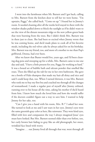I went into the farmhouse when Mr. Barnett and I got back, calling to Mrs. Barnett from the kitchen door to tell her we were home. "I'm upstairs, Peggy," she called back. "Come on up." I found her in Jimmy's room. It needed cleaning after all the weeks he'd stayed in there with the window shades pulled down to block the sunlight as if he didn't want to see the view of the distant mountain ridge or the new yellow-green buds that were bursting from the trees. But I didn't think Mrs. Barnett was in there just to clean. She had been so excited when Jimmy wrote that he was coming home, and she'd made plans to cook all of his favorite meals, including the red velvet cake he always asked for on his birthday. Mrs. Barnett was my friend, too, and more of a mother to me than Pop's girlfriend, Donna, had ever been.

After we knew that Buster would live, years ago, and I'd been cleaning dog pens and sweeping up for a while, Mrs. Barnett came to me one day and said, "I have a little present for you, Peggy, for working so hard." It was a boxed set of bubble bath and talcum powder that smelled like roses. Then she filled up the tub for me in her own bathroom. She gave me a bottle of Halo shampoo that made my hair all shiny and nice and said I could keep that, too. When I turned thirteen, it was Mrs. Barnett who took me to buy my first bra and coached me through all the changes of womanhood. I made a regular pest of myself after Jimmy enlisted, running over to his house all the time, asking his mother if she'd heard from him. I knew how much she loved him and how she would suffer if the doctors couldn't figure out a way to save him. I wanted to help Jimmy for her sake, too.

"Can I give you a hand with his room, Mrs. B.?" I asked her now. She turned to look at me and I saw tears in her eyes. Jimmy's eyes were the same greenish-gray color as hers, like rainwater. They were kind eyes, filled with love and compassion the way I always imagined Jesus' eyes must have looked. But Mrs. Barnett seemed older than ever before, too, her curly brown hair fading to gray like an old photograph, her sweet, wrinkled face lined with worry.

"Imagine . . . our Jimmy lived all through that war, went through all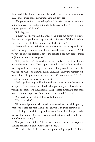those terrible battles in dangerous places with barely a scratch. And now this. I guess there are some wounds you just can't see."

"I'm going to find a way to help him." I carried the vacuum cleaner out of Jimmy's room and put it in the hall closet for her. "I'm not going to give up until he's better."

"Oh, Peggy—"

"I mean it. I know Mr. B. has work to do, but I can drive you over to the veterans' hospital once they let us visit him again. We'll talk to him and remind him of all the good reasons he has to live."

She sank down on his bed and ran her hand over the bedspread. "We waited so long for him to come home from the war and now . . . Well, we have to trust the doctors. They're the experts. But I can't bear to think of Jimmy all alone in that place."

"I'll go with you." She reached for my hands as I sat down beside her, and squeezed them. Tears slipped down her cheeks. I saw her throat working as if she was trying to talk but nothing would come out. She was the one who found Jimmy, barely alive, and I knew the memory still haunted her. She pulled me into her arms. "We won't give up, Mrs. B.," I said through my own tears. "We won't!"

She hugged me long and hard, then backed away to wipe her eyes on her apron. "Gordon and I tried so hard to get Jimmy to tell us what was wrong," she said. "We thought something terrible must have happened to make him so depressed. Something he just couldn't forget."

"Or maybe it was a lot of things all adding up."

"Yes . . . maybe."

"If we can figure out what made him so sad, we can all help carry part of that load for him. Maybe the answer is in there somewhere," I said, pointing to the duffel bag and rucksack Jimmy had dumped in the corner of his room. "Maybe we can piece the story together and figure out what went wrong."

"Do you really think so?" I saw hope in her eyes and the deep love she had for her son, and I wanted it to be true.

"Yes, I do believe it. Let's look through his things together." I lifted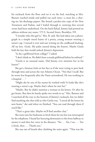his rucksack from the floor and set it on the bed, watching as Mrs. Barnett reached inside and pulled out each item—a mess kit, a shaving set, his discharge papers. She found a pocket-size copy of the New Testament and Psalms, and I leafed through it, noticing that several verses had been underlined. On the back flyleaf, Jimmy had printed an address without any name: 573 S. Second Street, Brooklyn, NY.

"I wonder who this girl is," Mrs. B. said. She had taken out a photograph in a simple metal frame of a pretty, young woman wearing a nurse's cap. I turned it over and saw writing on the cardboard backing: *All my love, Gisela.* My pulse started doing the foxtrot. Maybe Gisela held the key that would unlock Jimmy's depression.

"Is she a girlfriend from college?" I asked.

"I don't think so. He didn't have a steady girlfriend before he enlisted."

"Gisela is an unusual name. Did Jimmy ever mention her in his letters?"

She got a faraway look on her face as if she were trying to peer back through time and across the vast Atlantic Ocean. "Not that I recall. But he wrote less frequently after the Nazis surrendered. He was working in a hospital . . ."

"Might she be one of the nurses he worked with? It looks like she's wearing a nurse's cap. Maybe that's where he met her."

"Maybe. But he didn't mention a woman in his letters. Or after he got home. But then he barely spoke two words to us." Mrs. Barnett and I searched all the way to the bottom of Jimmy's rucksack, but we didn't find anything else that told us who Gisela was. "I saved all the letters he sent home," she said when we finished. "You can read through them if you'd like."

"That's a great idea. Maybe we'll find another clue."

She went into her bedroom to fetch them for me but was interrupted by the telephone. I heard her hurrying downstairs to the front hallway to answer it and then her voice in the distance. "Yes . . . Yes, I see . . . Ten o'clock, then . . . Thank you."

She was out of breath after climbing the stairs again. "That was the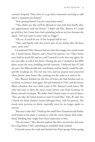veterans' hospital. They want us to go there tomorrow morning to talk about a treatment for Jimmy."

"Is he getting better? Can he come home soon?"

"They didn't say. But we'll be allowed to visit with him briefly after our appointment with the doctor." I didn't ask Mrs. Barnett if I could go with her, but I must have had a pleading look on my face because she asked, "Do you want to come with us, Peggy?"

"Oh yes, if you'll let me. If the hospital will let me."

"They said family only, but you're part of our family after all these years, aren't you?"

I wondered if Mrs. Barnett had any idea how happy her words made me. I loved Jimmy Barnett and I loved his parents, too. Their home once held so much life and joy, and I wanted it to be that way again, for my own sake as well as for theirs. During the war, I worked at the IBM plant across the river, building aircraft cannons. I believed that if I did my part, the Allies would win, and Jimmy and his family would be safe, and life would go on. The war was over, and my prayers were answered when Jimmy came home. But nothing was the same as it used to be.

Mrs. Barnett handed me the box of letters she had fetched and we sat down on Jimmy's bed again. He had enlisted in 1942, and his letters filled a shoebox that once held a pair of Mr. Barnett's work boots. We only had time to skim the most recent letters, sent from Germany in flimsy airmail envelopes. We didn't find Gisela's name in any of them. "You can take the letters home to read, if you'd like," Mrs. B. said, but I shook my head. Jimmy's letters belonged here, with his parents. His words were precious to them, especially since he no longer spoke to anyone.

"But may I take this?" I held up the small New Testament and Psalms we'd found in his pack. I wanted to read the verses Jimmy had underlined, thinking they might have been important to him.

"Yes, of course," Mrs. Barnett replied. She drew me into her soft arms for a hug before I left, something we probably both needed.

I hurried across the road and ducked into Pop's garage before going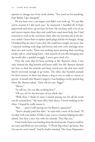upstairs to change out of my work clothes. "You need me for anything, Pop? Before I get changed?"

He was bent over a car engine and didn't even look up. "It's not like you're around if I did need you," he muttered. I handled all of Pop's paperwork and wrote up invoices for him. He was busy with a lot of car and tractor repairs these days and could have used more help, but I had returned to work at the veterinary clinic after my wartime job at the factory ended. I knew how to replace spark plugs and do oil changes, things I'd helped Pop do since I was a kid. He could have taught me more, but I enjoyed working with dogs and horses and even cows and pigs more than cars and trucks. There was nothing more amazing than watching a baby calf or a foal being born—that miracle of new life emerging into the world after a painful struggle. I never grew tired of it.

Over the years that I'd been working at Mr. Barnett's clinic, I not only cleaned the dog kennels and horse stalls, but Mr. Barnett showed me how to feed the animals and keep watch over the sick ones until they'd recovered enough to go home. The clinic also boarded animals for their owners, so there was always a dog or two to walk or a horse to groom. A month after Buster's surgery, I was feeding a newly spayed dog when Mr. Barnett asked, "How old are you, Peggy?"

"Eleven."

"So tell me. Do you like working here?"

"Oh yes, sir! It's the best part of my whole day."

"Well, then. I think it's time I started paying you for all the work you do around here." My heart did a little dance. I loved working in the clinic. I hoped he really meant it.

"But . . . aren't I still paying you for Buster's operation?"

"You've already paid that debt," he said with a wave of his hand. "If it's okay with your father, I'd like to pay you to continue helping me after school. You have a nice way with the animals. They like you."

I had nearly burst out bawling from his kind words. I had to swallow my tears and blink my eyes real fast. "I-I'll ask Pop when I go home. But I'm sure he won't mind." And he hadn't minded. The Great Depression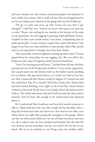still cast a shadow over the country, and many people were desperate to earn a little extra money. But I could tell that Pop was disappointed in me for not taking more interest in the garage that was his livelihood.

"I'll get to work and write up that invoice for you after I get changed," I told Pop now. "And let me know what parts you want me to order." Buster was waiting for me outside at the bottom of the steps to our apartment, his tail wagging in greeting. Pop's girlfriend, Donna, wouldn't let him come inside unless I was home, complaining that he stank up the place. I took a minute to greet him and let him know I was happy to see him, too, then told him to wait outside while I flew up the stairs to our apartment to change out of my barn clothes.

"You sound like a herd of elephants coming up those stairs!" Donna griped from her usual place on our sagging sofa. She was still in her housecoat and a haze of cigarette smoke hovered around her.

"Sorry. I'm wearing my work boots." I kicked them off near the door and opened one of the living room windows. It was nearly suppertime, but a quick peek into the kitchen told me she hadn't started anything for our dinner. My pop loved Donna, so I tried very hard to love her, too. But I suspected that Donna would be happier if I moved out and she could have Pop all to herself. He'd been lonely after Mama died and had started drinking every night at the Crow Bar, where Donna worked as a barmaid. By the time I was in high school, she had moved in with us. The whole town knew that she lived here and that they weren't married. And I'd been old enough to be embarrassed and ashamed about it.

Yet I understood Pop's loneliness and how he'd needed someone to talk to. Mama had been the one who would rub his shoulders after a long day of work and make sure there was a hot meal on our table, even when money was tight after paying the mortgage on his garage. Mama was the one who sewed clothes for me out of hand-me-downs and sent me off to school with my hair brushed and braided. But she had felt very tired on the last morning I saw her, too tired to fix my hair or my lunch. She sat in an armchair in our living room, her swollen ankles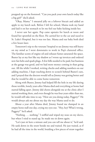propped up on the footstool. "Can you pack your own lunch today like a big girl?" she'd asked.

"Okay, Mama." I smeared jelly on a leftover biscuit and added an apple to my lunch sack. Before I left for school, Mama took my hand and laid it on her stomach to let me feel our baby kicking inside her.

I never saw her again. Pop came upstairs for lunch at noon and found her sprawled on the floor. He carried her to the car and raced to St. Luke's Hospital, but it was too late. Mama and our baby both died a few hours later.

Tomorrow's trip to the veterans' hospital to see Jimmy was still heavy on my mind as I went downstairs to work in Pop's cluttered office. The familiar scents of engine oil and exhaust fumes saturated the space. Buster lay at my feet like my shadow as I wrote up invoices and ordered new fan belts and spark plugs. A few bills needed to be paid, but business at the garage was good, and we had more money coming in than going out. All the while I worked, writing checks and adding numbers on our adding machine, I kept reaching down to scratch behind Buster's ears, and I prayed that the doctors would tell us Jimmy was getting better and that he would be able to come home tomorrow.

Along with Buster, Jimmy had helped fill the hole in my life during those terrible, lonely years after Mama died and everything at home had started falling apart. Jimmy did chores alongside me at the clinic after I started working there, and even though he was four years older than me, he would still take time to say, "How are you doing today, Peggety?" He would always ask me about my day the way Mama used to do.

About a year after Mama died, Jimmy found me slumped in an empty horse stall one day, crying my eyes out. "Hey, hey! What's wrong, Peggety?" he'd asked.

"Nothing . . . nothing." I sniffed and wiped my nose on my sleeve, but when I tried to stand up, he made me sit down again.

"Let's just sit here a minute and you can tell me about it," he'd said. He sank down in the straw beside me and waited. He just waited, as if he had all the time in the world, braiding a few pieces of straw together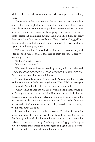while he did. His patience won me over. My story spilled out with my tears.

"Some kids pushed me down in the mud on my way home from school, then they laughed at me. They always make fun of me, saying that I have cooties. Sometimes they call me 'grease monkey,' and they make ape noises at me because of Pop's garage, and because I can never get the grease out from under my fingernails after I help him. But today they made fun of me because of Buster. They called me 'dog girl,' and they howled and barked at me all the way home." I felt beat up all over again as I told Jimmy my story.

"Who are these kids?" he said when I finished. He was roaring mad. "Tell me their names, and I'll take care of them for you." There were too many to name.

"It doesn't matter," I said.

"Of course it matters!"

"Pop says I have to learn to stand up for myself." He'd also said, *"Sticks and stones may break your bones, but names will never hurt you."* But that wasn't true. The names did hurt.

"Those other kids are wrong," Jimmy said. "You're a great kid, Peggety. And Buster is one of the bravest dogs I know." Tears filled my eyes again at his words. "You should tell your teacher about those bullies."

"Okay." I had nodded my head so he would believe that I would do it. But my teacher that year was Miss Hastings, and she looked at me the same way all the kids in my class did. I longed to stand close to her because she smelled nice, the way my mama had. I'd started to forget my mama, and I didn't want to. But whenever I got too close, Miss Hastings would back away a little bit.

I never told her about the bullies, of course. The kids still made fun of me, and Miss Hastings still kept her distance from me. But the fact that Jimmy had cared, that he would have stood up to all those other kids for me, meant everything. *"You're a great kid, Peggety. You're a great kid."* I repeated those words to myself again and again. And I kept the little straw braid he had made to remind me of them.